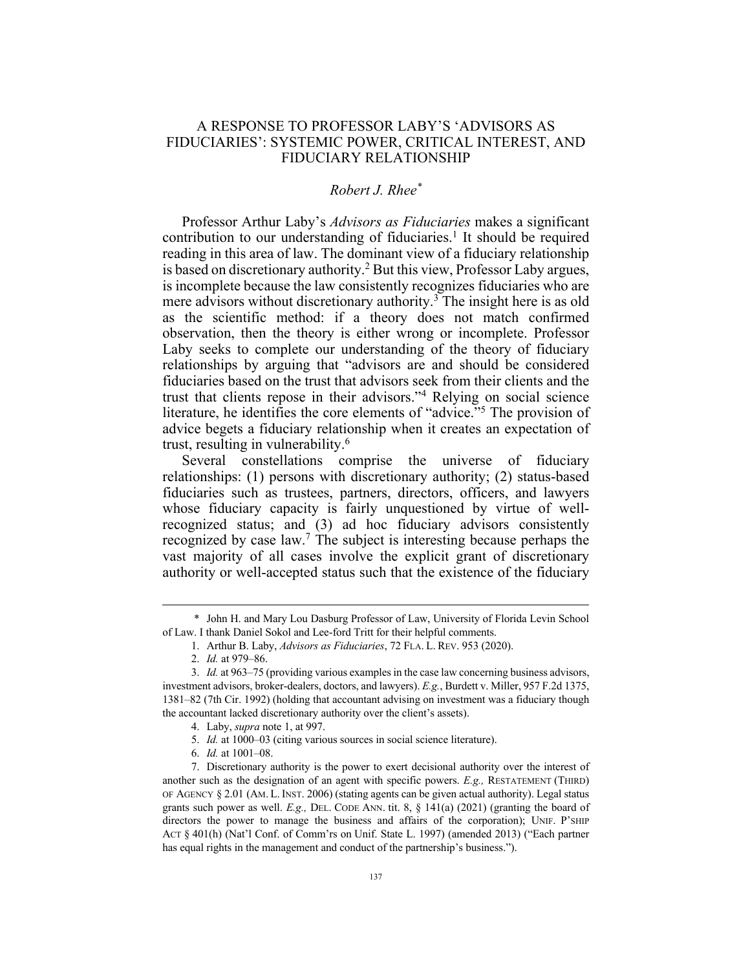## A RESPONSE TO PROFESSOR LABY'S 'ADVISORS AS FIDUCIARIES': SYSTEMIC POWER, CRITICAL INTEREST, AND FIDUCIARY RELATIONSHIP

## *Robert J. Rhee\**

Professor Arthur Laby's *Advisors as Fiduciaries* makes a significant contribution to our understanding of fiduciaries.<sup>1</sup> It should be required reading in this area of law. The dominant view of a fiduciary relationship is based on discretionary authority.<sup>2</sup> But this view, Professor Laby argues, is incomplete because the law consistently recognizes fiduciaries who are mere advisors without discretionary authority.<sup>3</sup> The insight here is as old as the scientific method: if a theory does not match confirmed observation, then the theory is either wrong or incomplete. Professor Laby seeks to complete our understanding of the theory of fiduciary relationships by arguing that "advisors are and should be considered fiduciaries based on the trust that advisors seek from their clients and the trust that clients repose in their advisors."4 Relying on social science literature, he identifies the core elements of "advice."<sup>5</sup> The provision of advice begets a fiduciary relationship when it creates an expectation of trust, resulting in vulnerability.6

Several constellations comprise the universe of fiduciary relationships: (1) persons with discretionary authority; (2) status-based fiduciaries such as trustees, partners, directors, officers, and lawyers whose fiduciary capacity is fairly unquestioned by virtue of wellrecognized status; and (3) ad hoc fiduciary advisors consistently recognized by case law.7 The subject is interesting because perhaps the vast majority of all cases involve the explicit grant of discretionary authority or well-accepted status such that the existence of the fiduciary

<sup>\*</sup> John H. and Mary Lou Dasburg Professor of Law, University of Florida Levin School of Law. I thank Daniel Sokol and Lee-ford Tritt for their helpful comments.

<sup>1.</sup> Arthur B. Laby, *Advisors as Fiduciaries*, 72 FLA. L. REV. 953 (2020).

<sup>2.</sup> *Id.* at 979–86.

<sup>3.</sup> *Id.* at 963–75 (providing various examples in the case law concerning business advisors, investment advisors, broker-dealers, doctors, and lawyers). *E.g.*, Burdett v. Miller, 957 F.2d 1375, 1381–82 (7th Cir. 1992) (holding that accountant advising on investment was a fiduciary though the accountant lacked discretionary authority over the client's assets).

<sup>4.</sup> Laby, *supra* note 1, at 997.

<sup>5.</sup> *Id.* at 1000–03 (citing various sources in social science literature).

<sup>6.</sup> *Id.* at 1001–08.

<sup>7.</sup> Discretionary authority is the power to exert decisional authority over the interest of another such as the designation of an agent with specific powers. *E.g.,* RESTATEMENT (THIRD) OF AGENCY § 2.01 (AM. L. INST. 2006) (stating agents can be given actual authority). Legal status grants such power as well. *E.g.,* DEL. CODE ANN. tit. 8, § 141(a) (2021) (granting the board of directors the power to manage the business and affairs of the corporation); UNIF. P'SHIP ACT § 401(h) (Nat'l Conf. of Comm'rs on Unif. State L. 1997) (amended 2013) ("Each partner has equal rights in the management and conduct of the partnership's business.").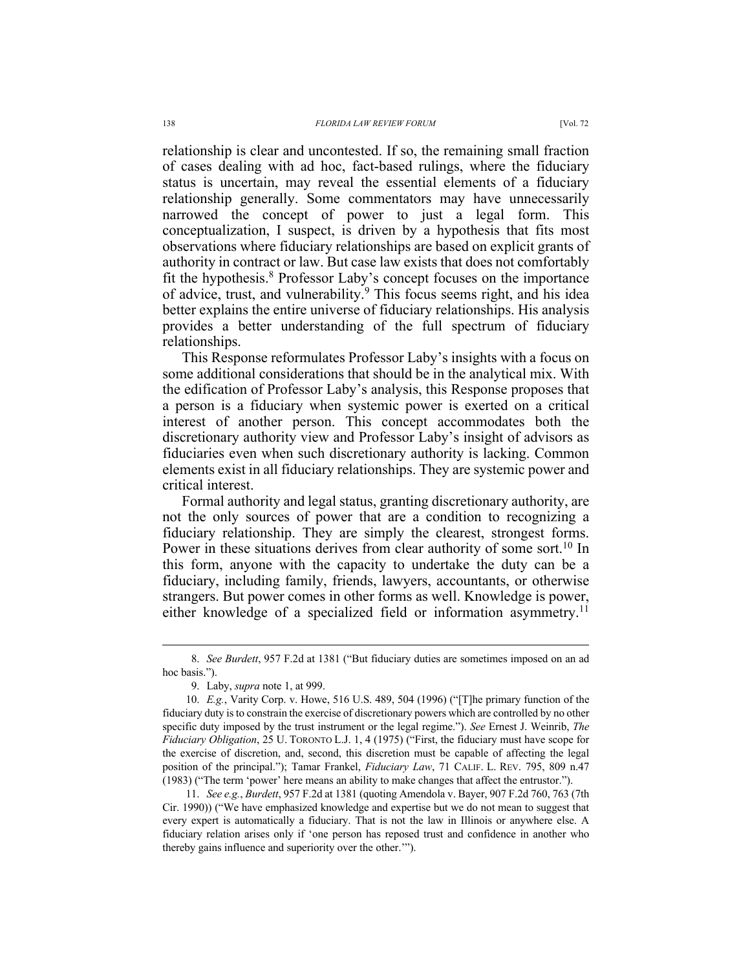relationship is clear and uncontested. If so, the remaining small fraction of cases dealing with ad hoc, fact-based rulings, where the fiduciary status is uncertain, may reveal the essential elements of a fiduciary relationship generally. Some commentators may have unnecessarily narrowed the concept of power to just a legal form. This conceptualization, I suspect, is driven by a hypothesis that fits most observations where fiduciary relationships are based on explicit grants of authority in contract or law. But case law exists that does not comfortably fit the hypothesis.<sup>8</sup> Professor Laby's concept focuses on the importance of advice, trust, and vulnerability.<sup>9</sup> This focus seems right, and his idea better explains the entire universe of fiduciary relationships. His analysis provides a better understanding of the full spectrum of fiduciary relationships.

This Response reformulates Professor Laby's insights with a focus on some additional considerations that should be in the analytical mix. With the edification of Professor Laby's analysis, this Response proposes that a person is a fiduciary when systemic power is exerted on a critical interest of another person. This concept accommodates both the discretionary authority view and Professor Laby's insight of advisors as fiduciaries even when such discretionary authority is lacking. Common elements exist in all fiduciary relationships. They are systemic power and critical interest.

Formal authority and legal status, granting discretionary authority, are not the only sources of power that are a condition to recognizing a fiduciary relationship. They are simply the clearest, strongest forms. Power in these situations derives from clear authority of some sort.<sup>10</sup> In this form, anyone with the capacity to undertake the duty can be a fiduciary, including family, friends, lawyers, accountants, or otherwise strangers. But power comes in other forms as well. Knowledge is power, either knowledge of a specialized field or information asymmetry.<sup>11</sup>

<sup>8.</sup> *See Burdett*, 957 F.2d at 1381 ("But fiduciary duties are sometimes imposed on an ad hoc basis.").

<sup>9.</sup> Laby, *supra* note 1, at 999.

<sup>10.</sup> *E.g.*, Varity Corp. v. Howe, 516 U.S. 489, 504 (1996) ("[T]he primary function of the fiduciary duty is to constrain the exercise of discretionary powers which are controlled by no other specific duty imposed by the trust instrument or the legal regime."). *See* Ernest J. Weinrib, *The Fiduciary Obligation*, 25 U. TORONTO L.J. 1, 4 (1975) ("First, the fiduciary must have scope for the exercise of discretion, and, second, this discretion must be capable of affecting the legal position of the principal."); Tamar Frankel, *Fiduciary Law*, 71 CALIF. L. REV. 795, 809 n.47 (1983) ("The term 'power' here means an ability to make changes that affect the entrustor.").

<sup>11.</sup> *See e.g.*, *Burdett*, 957 F.2d at 1381 (quoting Amendola v. Bayer, 907 F.2d 760, 763 (7th Cir. 1990)) ("We have emphasized knowledge and expertise but we do not mean to suggest that every expert is automatically a fiduciary. That is not the law in Illinois or anywhere else. A fiduciary relation arises only if 'one person has reposed trust and confidence in another who thereby gains influence and superiority over the other.'").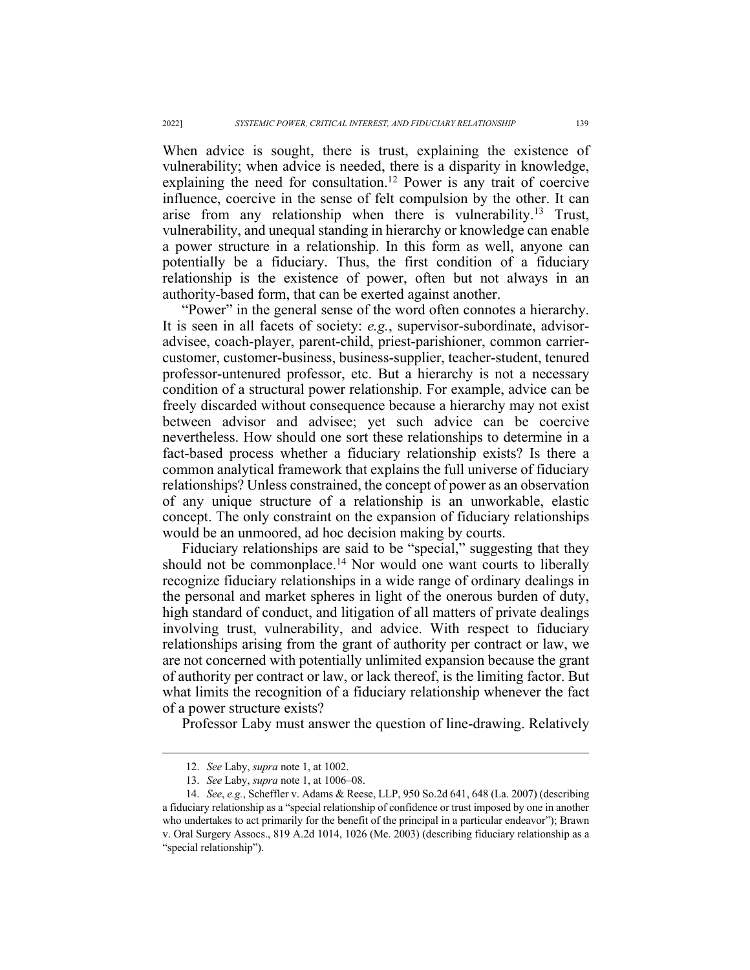When advice is sought, there is trust, explaining the existence of vulnerability; when advice is needed, there is a disparity in knowledge, explaining the need for consultation. <sup>12</sup> Power is any trait of coercive influence, coercive in the sense of felt compulsion by the other. It can arise from any relationship when there is vulnerability.<sup>13</sup> Trust, vulnerability, and unequal standing in hierarchy or knowledge can enable a power structure in a relationship. In this form as well, anyone can potentially be a fiduciary. Thus, the first condition of a fiduciary relationship is the existence of power, often but not always in an authority-based form, that can be exerted against another.

"Power" in the general sense of the word often connotes a hierarchy. It is seen in all facets of society: *e.g.*, supervisor-subordinate, advisoradvisee, coach-player, parent-child, priest-parishioner, common carriercustomer, customer-business, business-supplier, teacher-student, tenured professor-untenured professor, etc. But a hierarchy is not a necessary condition of a structural power relationship. For example, advice can be freely discarded without consequence because a hierarchy may not exist between advisor and advisee; yet such advice can be coercive nevertheless. How should one sort these relationships to determine in a fact-based process whether a fiduciary relationship exists? Is there a common analytical framework that explains the full universe of fiduciary relationships? Unless constrained, the concept of power as an observation of any unique structure of a relationship is an unworkable, elastic concept. The only constraint on the expansion of fiduciary relationships would be an unmoored, ad hoc decision making by courts.

Fiduciary relationships are said to be "special," suggesting that they should not be commonplace.<sup>14</sup> Nor would one want courts to liberally recognize fiduciary relationships in a wide range of ordinary dealings in the personal and market spheres in light of the onerous burden of duty, high standard of conduct, and litigation of all matters of private dealings involving trust, vulnerability, and advice. With respect to fiduciary relationships arising from the grant of authority per contract or law, we are not concerned with potentially unlimited expansion because the grant of authority per contract or law, or lack thereof, is the limiting factor. But what limits the recognition of a fiduciary relationship whenever the fact of a power structure exists?

Professor Laby must answer the question of line-drawing. Relatively

<sup>12.</sup> *See* Laby, *supra* note 1, at 1002.

<sup>13.</sup> *See* Laby, *supra* note 1, at 1006–08.

<sup>14.</sup> *See*, *e.g.*, Scheffler v. Adams & Reese, LLP, 950 So.2d 641, 648 (La. 2007) (describing a fiduciary relationship as a "special relationship of confidence or trust imposed by one in another who undertakes to act primarily for the benefit of the principal in a particular endeavor"); Brawn v. Oral Surgery Assocs., 819 A.2d 1014, 1026 (Me. 2003) (describing fiduciary relationship as a "special relationship").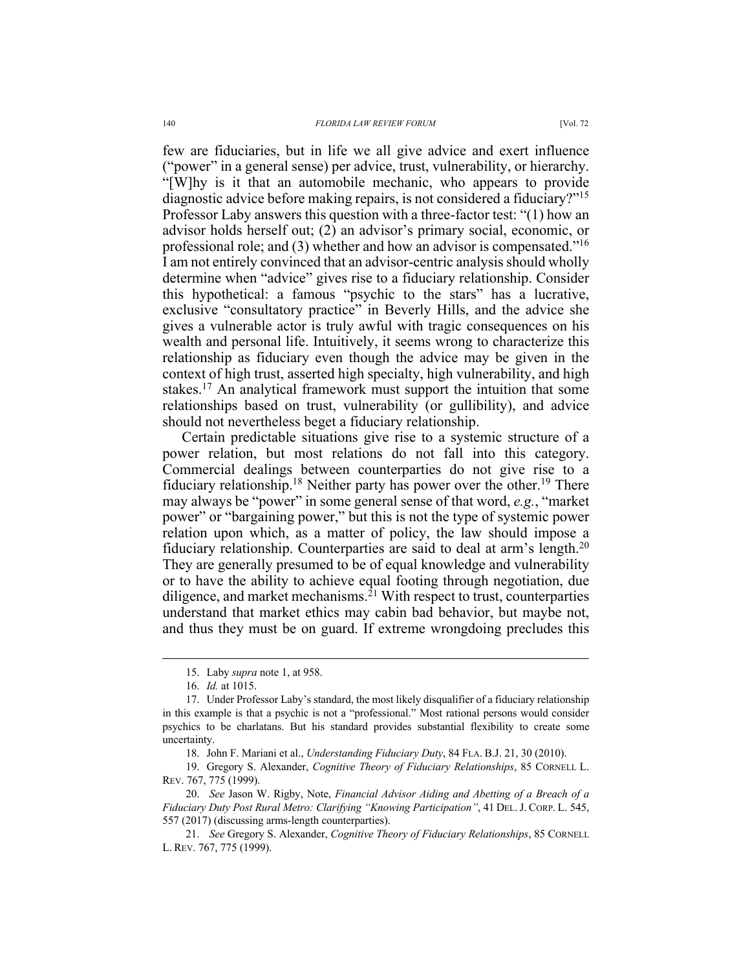few are fiduciaries, but in life we all give advice and exert influence ("power" in a general sense) per advice, trust, vulnerability, or hierarchy. "[W]hy is it that an automobile mechanic, who appears to provide diagnostic advice before making repairs, is not considered a fiduciary?"15 Professor Laby answers this question with a three-factor test: "(1) how an advisor holds herself out; (2) an advisor's primary social, economic, or professional role; and (3) whether and how an advisor is compensated."<sup>16</sup> I am not entirely convinced that an advisor-centric analysis should wholly determine when "advice" gives rise to a fiduciary relationship. Consider this hypothetical: a famous "psychic to the stars" has a lucrative, exclusive "consultatory practice" in Beverly Hills, and the advice she gives a vulnerable actor is truly awful with tragic consequences on his wealth and personal life. Intuitively, it seems wrong to characterize this relationship as fiduciary even though the advice may be given in the context of high trust, asserted high specialty, high vulnerability, and high stakes.<sup>17</sup> An analytical framework must support the intuition that some relationships based on trust, vulnerability (or gullibility), and advice should not nevertheless beget a fiduciary relationship.

Certain predictable situations give rise to a systemic structure of a power relation, but most relations do not fall into this category. Commercial dealings between counterparties do not give rise to a fiduciary relationship.<sup>18</sup> Neither party has power over the other.<sup>19</sup> There may always be "power" in some general sense of that word, *e.g.*, "market power" or "bargaining power," but this is not the type of systemic power relation upon which, as a matter of policy, the law should impose a fiduciary relationship. Counterparties are said to deal at arm's length.<sup>20</sup> They are generally presumed to be of equal knowledge and vulnerability or to have the ability to achieve equal footing through negotiation, due diligence, and market mechanisms.<sup>21</sup> With respect to trust, counterparties understand that market ethics may cabin bad behavior, but maybe not, and thus they must be on guard. If extreme wrongdoing precludes this

<sup>15.</sup> Laby *supra* note 1, at 958.

<sup>16.</sup> *Id.* at 1015.

<sup>17.</sup> Under Professor Laby's standard, the most likely disqualifier of a fiduciary relationship in this example is that a psychic is not a "professional." Most rational persons would consider psychics to be charlatans. But his standard provides substantial flexibility to create some uncertainty.

<sup>18.</sup> John F. Mariani et al., *Understanding Fiduciary Duty*, 84 FLA. B.J. 21, 30 (2010).

<sup>19.</sup> Gregory S. Alexander, *Cognitive Theory of Fiduciary Relationships*, 85 CORNELL L. REV. 767, 775 (1999).

<sup>20.</sup> *See* Jason W. Rigby, Note, *Financial Advisor Aiding and Abetting of a Breach of a Fiduciary Duty Post Rural Metro: Clarifying "Knowing Participation"*, 41 DEL.J. CORP. L. 545, 557 (2017) (discussing arms-length counterparties).

<sup>21.</sup> *See* Gregory S. Alexander, *Cognitive Theory of Fiduciary Relationships*, 85 CORNELL L. REV. 767, 775 (1999).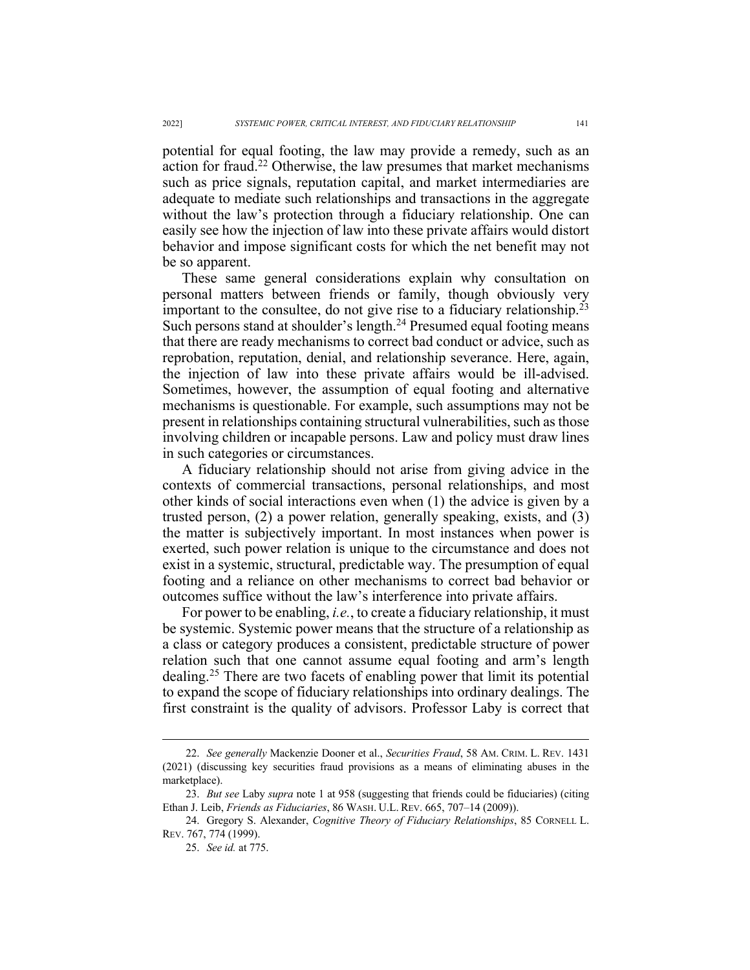potential for equal footing, the law may provide a remedy, such as an action for fraud.<sup>22</sup> Otherwise, the law presumes that market mechanisms such as price signals, reputation capital, and market intermediaries are adequate to mediate such relationships and transactions in the aggregate without the law's protection through a fiduciary relationship. One can easily see how the injection of law into these private affairs would distort behavior and impose significant costs for which the net benefit may not be so apparent.

These same general considerations explain why consultation on personal matters between friends or family, though obviously very important to the consultee, do not give rise to a fiduciary relationship.<sup>23</sup> Such persons stand at shoulder's length.<sup>24</sup> Presumed equal footing means that there are ready mechanisms to correct bad conduct or advice, such as reprobation, reputation, denial, and relationship severance. Here, again, the injection of law into these private affairs would be ill-advised. Sometimes, however, the assumption of equal footing and alternative mechanisms is questionable. For example, such assumptions may not be present in relationships containing structural vulnerabilities, such as those involving children or incapable persons. Law and policy must draw lines in such categories or circumstances.

A fiduciary relationship should not arise from giving advice in the contexts of commercial transactions, personal relationships, and most other kinds of social interactions even when (1) the advice is given by a trusted person, (2) a power relation, generally speaking, exists, and (3) the matter is subjectively important. In most instances when power is exerted, such power relation is unique to the circumstance and does not exist in a systemic, structural, predictable way. The presumption of equal footing and a reliance on other mechanisms to correct bad behavior or outcomes suffice without the law's interference into private affairs.

For power to be enabling, *i.e.*, to create a fiduciary relationship, it must be systemic. Systemic power means that the structure of a relationship as a class or category produces a consistent, predictable structure of power relation such that one cannot assume equal footing and arm's length dealing.<sup>25</sup> There are two facets of enabling power that limit its potential to expand the scope of fiduciary relationships into ordinary dealings. The first constraint is the quality of advisors. Professor Laby is correct that

<sup>22.</sup> *See generally* Mackenzie Dooner et al., *Securities Fraud*, 58 AM. CRIM. L. REV. 1431 (2021) (discussing key securities fraud provisions as a means of eliminating abuses in the marketplace).

<sup>23.</sup> *But see* Laby *supra* note 1 at 958 (suggesting that friends could be fiduciaries) (citing Ethan J. Leib, *Friends as Fiduciaries*, 86 WASH. U.L. REV. 665, 707–14 (2009)).

<sup>24.</sup> Gregory S. Alexander, *Cognitive Theory of Fiduciary Relationships*, 85 CORNELL L. REV. 767, 774 (1999).

<sup>25.</sup> *See id.* at 775.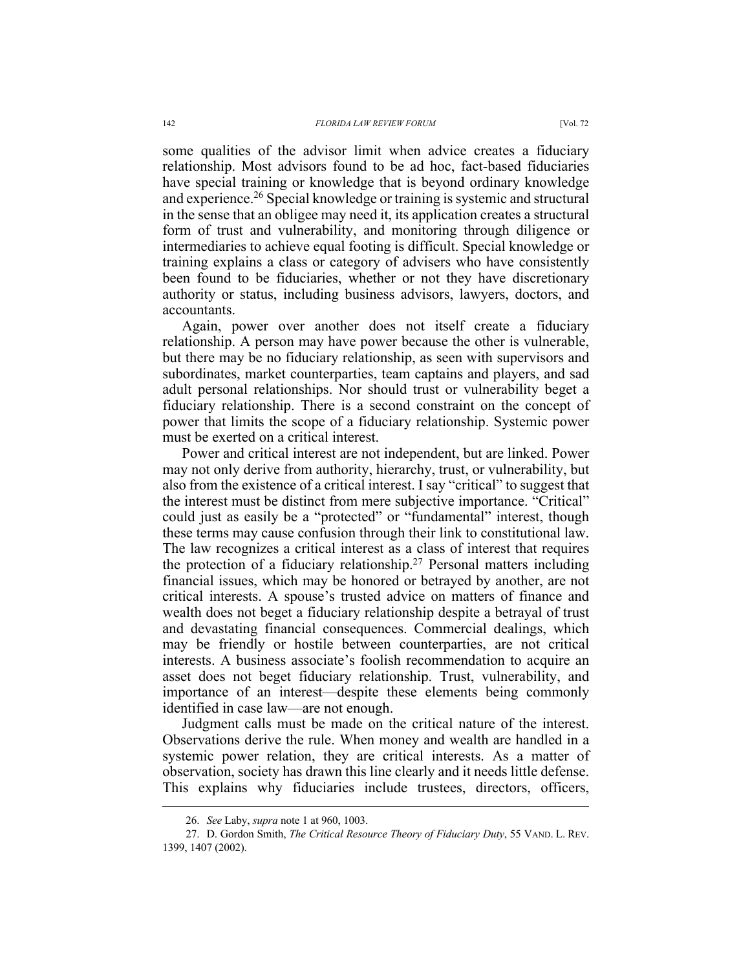some qualities of the advisor limit when advice creates a fiduciary relationship. Most advisors found to be ad hoc, fact-based fiduciaries have special training or knowledge that is beyond ordinary knowledge and experience.<sup>26</sup> Special knowledge or training is systemic and structural in the sense that an obligee may need it, its application creates a structural form of trust and vulnerability, and monitoring through diligence or intermediaries to achieve equal footing is difficult. Special knowledge or training explains a class or category of advisers who have consistently been found to be fiduciaries, whether or not they have discretionary authority or status, including business advisors, lawyers, doctors, and accountants.

Again, power over another does not itself create a fiduciary relationship. A person may have power because the other is vulnerable, but there may be no fiduciary relationship, as seen with supervisors and subordinates, market counterparties, team captains and players, and sad adult personal relationships. Nor should trust or vulnerability beget a fiduciary relationship. There is a second constraint on the concept of power that limits the scope of a fiduciary relationship. Systemic power must be exerted on a critical interest.

Power and critical interest are not independent, but are linked. Power may not only derive from authority, hierarchy, trust, or vulnerability, but also from the existence of a critical interest. I say "critical" to suggest that the interest must be distinct from mere subjective importance. "Critical" could just as easily be a "protected" or "fundamental" interest, though these terms may cause confusion through their link to constitutional law. The law recognizes a critical interest as a class of interest that requires the protection of a fiduciary relationship.<sup>27</sup> Personal matters including financial issues, which may be honored or betrayed by another, are not critical interests. A spouse's trusted advice on matters of finance and wealth does not beget a fiduciary relationship despite a betrayal of trust and devastating financial consequences. Commercial dealings, which may be friendly or hostile between counterparties, are not critical interests. A business associate's foolish recommendation to acquire an asset does not beget fiduciary relationship. Trust, vulnerability, and importance of an interest—despite these elements being commonly identified in case law—are not enough.

Judgment calls must be made on the critical nature of the interest. Observations derive the rule. When money and wealth are handled in a systemic power relation, they are critical interests. As a matter of observation, society has drawn this line clearly and it needs little defense. This explains why fiduciaries include trustees, directors, officers,

<sup>26.</sup> *See* Laby, *supra* note 1 at 960, 1003.

<sup>27.</sup> D. Gordon Smith, *The Critical Resource Theory of Fiduciary Duty*, 55 VAND. L. REV. 1399, 1407 (2002).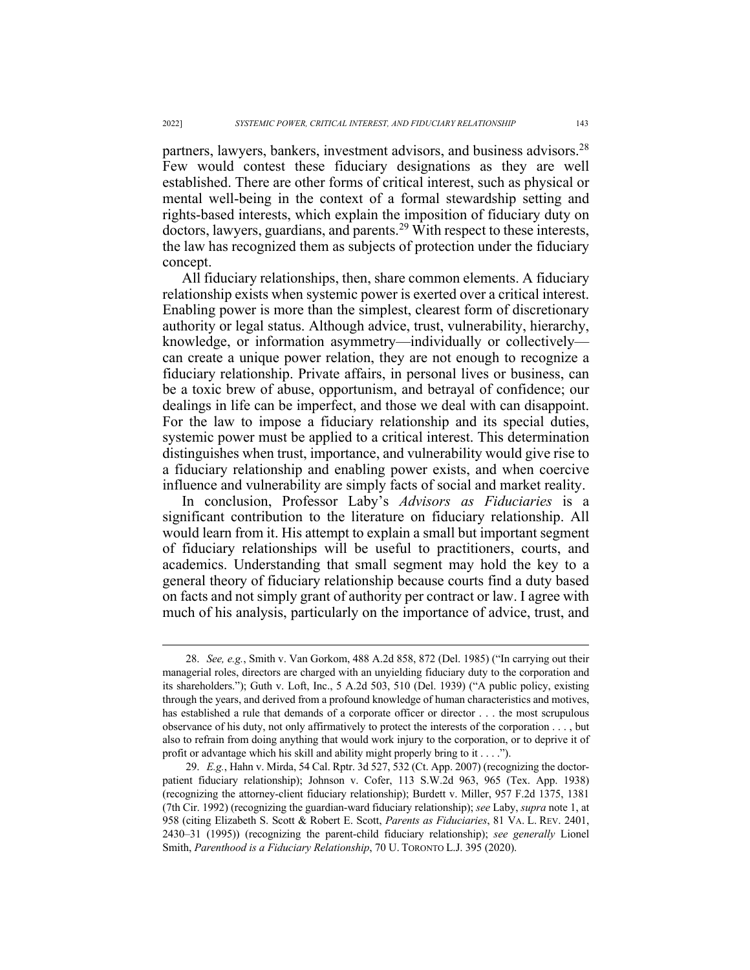partners, lawyers, bankers, investment advisors, and business advisors.<sup>28</sup> Few would contest these fiduciary designations as they are well established. There are other forms of critical interest, such as physical or mental well-being in the context of a formal stewardship setting and rights-based interests, which explain the imposition of fiduciary duty on doctors, lawyers, guardians, and parents.<sup>29</sup> With respect to these interests, the law has recognized them as subjects of protection under the fiduciary concept.

All fiduciary relationships, then, share common elements. A fiduciary relationship exists when systemic power is exerted over a critical interest. Enabling power is more than the simplest, clearest form of discretionary authority or legal status. Although advice, trust, vulnerability, hierarchy, knowledge, or information asymmetry—individually or collectively can create a unique power relation, they are not enough to recognize a fiduciary relationship. Private affairs, in personal lives or business, can be a toxic brew of abuse, opportunism, and betrayal of confidence; our dealings in life can be imperfect, and those we deal with can disappoint. For the law to impose a fiduciary relationship and its special duties, systemic power must be applied to a critical interest. This determination distinguishes when trust, importance, and vulnerability would give rise to a fiduciary relationship and enabling power exists, and when coercive influence and vulnerability are simply facts of social and market reality.

In conclusion, Professor Laby's *Advisors as Fiduciaries* is a significant contribution to the literature on fiduciary relationship. All would learn from it. His attempt to explain a small but important segment of fiduciary relationships will be useful to practitioners, courts, and academics. Understanding that small segment may hold the key to a general theory of fiduciary relationship because courts find a duty based on facts and not simply grant of authority per contract or law. I agree with much of his analysis, particularly on the importance of advice, trust, and

<sup>28.</sup> *See, e.g.*, Smith v. Van Gorkom, 488 A.2d 858, 872 (Del. 1985) ("In carrying out their managerial roles, directors are charged with an unyielding fiduciary duty to the corporation and its shareholders."); Guth v. Loft, Inc., 5 A.2d 503, 510 (Del. 1939) ("A public policy, existing through the years, and derived from a profound knowledge of human characteristics and motives, has established a rule that demands of a corporate officer or director . . . the most scrupulous observance of his duty, not only affirmatively to protect the interests of the corporation . . . , but also to refrain from doing anything that would work injury to the corporation, or to deprive it of profit or advantage which his skill and ability might properly bring to it . . . .").

<sup>29.</sup> *E.g.*, Hahn v. Mirda, 54 Cal. Rptr. 3d 527, 532 (Ct. App. 2007) (recognizing the doctorpatient fiduciary relationship); Johnson v. Cofer, 113 S.W.2d 963, 965 (Tex. App. 1938) (recognizing the attorney-client fiduciary relationship); Burdett v. Miller, 957 F.2d 1375, 1381 (7th Cir. 1992) (recognizing the guardian-ward fiduciary relationship); *see* Laby, *supra* note 1, at 958 (citing Elizabeth S. Scott & Robert E. Scott, *Parents as Fiduciaries*, 81 VA. L. REV. 2401, 2430–31 (1995)) (recognizing the parent-child fiduciary relationship); *see generally* Lionel Smith, *Parenthood is a Fiduciary Relationship*, 70 U. TORONTO L.J. 395 (2020).